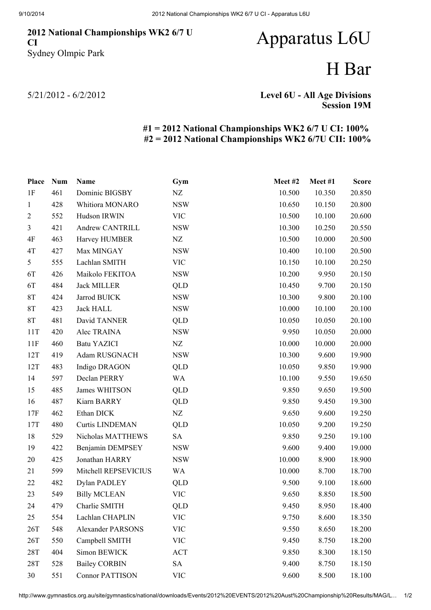### 2012 National Championships WK2 6/7 U CI Sydney Olmpic Park

# Apparatus L6U

## H Bar

5/21/2012 - 6/2/2012

#### Level 6U - All Age Divisions Session 19M

### #1 = 2012 National Championships WK2 6/7 U CI: 100% #2 = 2012 National Championships WK2 6/7U CII: 100%

| Place          | <b>Num</b> | Name                     | Gym        | Meet#2 | Meet #1 | <b>Score</b> |
|----------------|------------|--------------------------|------------|--------|---------|--------------|
| 1F             | 461        | Dominic BIGSBY           | NZ         | 10.500 | 10.350  | 20.850       |
| $\mathbf{1}$   | 428        | Whitiora MONARO          | <b>NSW</b> | 10.650 | 10.150  | 20.800       |
| $\overline{2}$ | 552        | Hudson IRWIN             | <b>VIC</b> | 10.500 | 10.100  | 20.600       |
| 3              | 421        | Andrew CANTRILL          | <b>NSW</b> | 10.300 | 10.250  | 20.550       |
| 4F             | 463        | Harvey HUMBER            | NZ         | 10.500 | 10.000  | 20.500       |
| 4T             | 427        | Max MINGAY               | <b>NSW</b> | 10.400 | 10.100  | 20.500       |
| 5              | 555        | Lachlan SMITH            | <b>VIC</b> | 10.150 | 10.100  | 20.250       |
| 6T             | 426        | Maikolo FEKITOA          | <b>NSW</b> | 10.200 | 9.950   | 20.150       |
| 6T             | 484        | <b>Jack MILLER</b>       | QLD        | 10.450 | 9.700   | 20.150       |
| $8\mathrm{T}$  | 424        | Jarrod BUICK             | <b>NSW</b> | 10.300 | 9.800   | 20.100       |
| <b>8T</b>      | 423        | <b>Jack HALL</b>         | <b>NSW</b> | 10.000 | 10.100  | 20.100       |
| <b>8T</b>      | 481        | David TANNER             | QLD        | 10.050 | 10.050  | 20.100       |
| 11T            | 420        | Alec TRAINA              | <b>NSW</b> | 9.950  | 10.050  | 20.000       |
| 11F            | 460        | <b>Batu YAZICI</b>       | NZ         | 10.000 | 10.000  | 20.000       |
| 12T            | 419        | Adam RUSGNACH            | <b>NSW</b> | 10.300 | 9.600   | 19.900       |
| 12T            | 483        | Indigo DRAGON            | QLD        | 10.050 | 9.850   | 19.900       |
| 14             | 597        | Declan PERRY             | <b>WA</b>  | 10.100 | 9.550   | 19.650       |
| 15             | 485        | James WHITSON            | QLD        | 9.850  | 9.650   | 19.500       |
| 16             | 487        | Kiarn BARRY              | QLD        | 9.850  | 9.450   | 19.300       |
| 17F            | 462        | Ethan DICK               | NZ         | 9.650  | 9.600   | 19.250       |
| 17T            | 480        | <b>Curtis LINDEMAN</b>   | QLD        | 10.050 | 9.200   | 19.250       |
| 18             | 529        | Nicholas MATTHEWS        | <b>SA</b>  | 9.850  | 9.250   | 19.100       |
| 19             | 422        | Benjamin DEMPSEY         | <b>NSW</b> | 9.600  | 9.400   | 19.000       |
| 20             | 425        | Jonathan HARRY           | <b>NSW</b> | 10.000 | 8.900   | 18.900       |
| 21             | 599        | Mitchell REPSEVICIUS     | WA         | 10.000 | 8.700   | 18.700       |
| 22             | 482        | Dylan PADLEY             | QLD        | 9.500  | 9.100   | 18.600       |
| 23             | 549        | <b>Billy MCLEAN</b>      | <b>VIC</b> | 9.650  | 8.850   | 18.500       |
| 24             | 479        | Charlie SMITH            | <b>QLD</b> | 9.450  | 8.950   | 18.400       |
| 25             | 554        | Lachlan CHAPLIN          | <b>VIC</b> | 9.750  | 8.600   | 18.350       |
| 26T            | 548        | <b>Alexander PARSONS</b> | <b>VIC</b> | 9.550  | 8.650   | 18.200       |
| 26T            | 550        | Campbell SMITH           | <b>VIC</b> | 9.450  | 8.750   | 18.200       |
| 28T            | 404        | Simon BEWICK             | <b>ACT</b> | 9.850  | 8.300   | 18.150       |
| 28T            | 528        | <b>Bailey CORBIN</b>     | <b>SA</b>  | 9.400  | 8.750   | 18.150       |
| 30             | 551        | <b>Connor PATTISON</b>   | <b>VIC</b> | 9.600  | 8.500   | 18.100       |